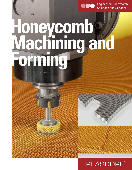

**Engineered Honeycomb** Solutions and Services

# **Honeycomb Machining and Forming**



# **PLASCORE®**